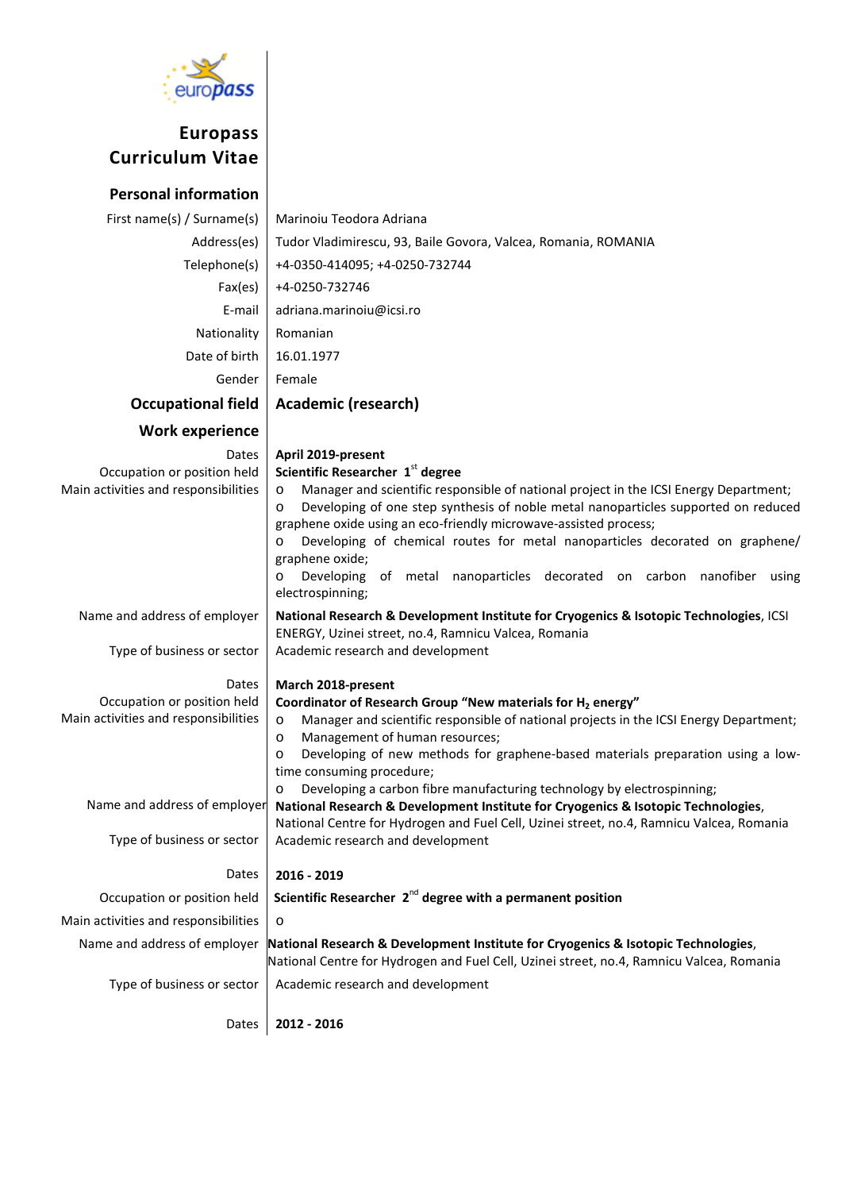

# **Europass Curriculum Vitae**

#### **Personal information** First name(s) / Surname(s) | Marinoiu Teodora Adriana Address(es) Tudor Vladimirescu, 93, Baile Govora, Valcea, Romania, ROMANIA Telephone(s) +4-0350-414095; +4-0250-732744 Fax(es) +4-0250-732746 E-mail adriana.marinoiu@icsi.ro Nationality Romanian Date of birth | 16.01.1977 Gender Female **Occupational field Academic (research) Work experience** Dates Occupation or position held Main activities and responsibilities **April 2019-present Scientific Researcher 1**st **degree** o Manager and scientific responsible of national project in the ICSI Energy Department; Developing of one step synthesis of noble metal nanoparticles supported on reduced graphene oxide using an eco-friendly microwave-assisted process; o Developing of chemical routes for metal nanoparticles decorated on graphene/ graphene oxide; o Developing of metal nanoparticles decorated on carbon nanofiber using electrospinning; Name and address of employer Type of business or sector Dates Occupation or position held Main activities and responsibilities Name and address of employer Type of business or sector Dates **National Research & Development Institute for Cryogenics & Isotopic Technologies**, ICSI ENERGY, Uzinei street, no.4, Ramnicu Valcea, Romania Academic research and development **March 2018-present Coordinator of Research Group "New materials for H<sub>2</sub> energy"** o Manager and scientific responsible of national projects in the ICSI Energy Department; o Management of human resources; o Developing of new methods for graphene-based materials preparation using a lowtime consuming procedure; o Developing a carbon fibre manufacturing technology by electrospinning; **National Research & Development Institute for Cryogenics & Isotopic Technologies**, National Centre for Hydrogen and Fuel Cell, Uzinei street, no.4, Ramnicu Valcea, Romania Academic research and development **2016 - 2019 Occupation or position held** Scientific Researcher 2<sup>nd</sup> degree with a permanent position Main activities and responsibilities  $\vert \circ$ Name and address of employer **National Research & Development Institute for Cryogenics & Isotopic Technologies**, National Centre for Hydrogen and Fuel Cell, Uzinei street, no.4, Ramnicu Valcea, Romania Type of business or sector  $\parallel$  Academic research and development Dates **2012 - 2016**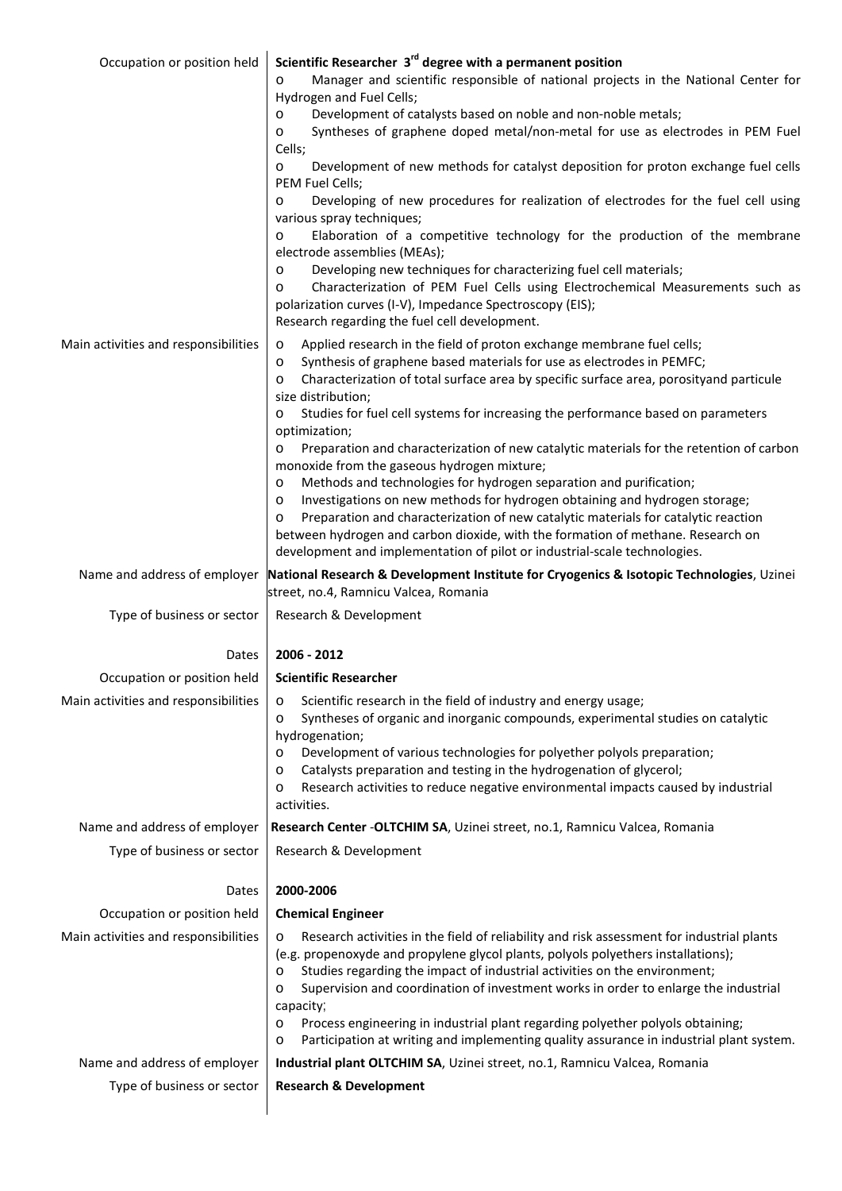| Occupation or position held          | Scientific Researcher 3 <sup>rd</sup> degree with a permanent position<br>Manager and scientific responsible of national projects in the National Center for<br>$\circ$<br>Hydrogen and Fuel Cells;                                                                                                                                                                                 |
|--------------------------------------|-------------------------------------------------------------------------------------------------------------------------------------------------------------------------------------------------------------------------------------------------------------------------------------------------------------------------------------------------------------------------------------|
|                                      | Development of catalysts based on noble and non-noble metals;<br>$\circ$                                                                                                                                                                                                                                                                                                            |
|                                      | Syntheses of graphene doped metal/non-metal for use as electrodes in PEM Fuel<br>$\circ$                                                                                                                                                                                                                                                                                            |
|                                      | Cells;<br>Development of new methods for catalyst deposition for proton exchange fuel cells<br>$\circ$                                                                                                                                                                                                                                                                              |
|                                      | PEM Fuel Cells;<br>Developing of new procedures for realization of electrodes for the fuel cell using<br>$\circ$                                                                                                                                                                                                                                                                    |
|                                      | various spray techniques;<br>Elaboration of a competitive technology for the production of the membrane<br>$\circ$                                                                                                                                                                                                                                                                  |
|                                      | electrode assemblies (MEAs);<br>Developing new techniques for characterizing fuel cell materials;<br>O                                                                                                                                                                                                                                                                              |
|                                      | Characterization of PEM Fuel Cells using Electrochemical Measurements such as<br>$\circ$<br>polarization curves (I-V), Impedance Spectroscopy (EIS);                                                                                                                                                                                                                                |
|                                      | Research regarding the fuel cell development.                                                                                                                                                                                                                                                                                                                                       |
| Main activities and responsibilities | Applied research in the field of proton exchange membrane fuel cells;<br>$\circ$<br>Synthesis of graphene based materials for use as electrodes in PEMFC;<br>$\circ$                                                                                                                                                                                                                |
|                                      | Characterization of total surface area by specific surface area, porosityand particule<br>O<br>size distribution;                                                                                                                                                                                                                                                                   |
|                                      | Studies for fuel cell systems for increasing the performance based on parameters<br>O<br>optimization;                                                                                                                                                                                                                                                                              |
|                                      | Preparation and characterization of new catalytic materials for the retention of carbon<br>$\circ$<br>monoxide from the gaseous hydrogen mixture;                                                                                                                                                                                                                                   |
|                                      | Methods and technologies for hydrogen separation and purification;<br>$\circ$                                                                                                                                                                                                                                                                                                       |
|                                      | Investigations on new methods for hydrogen obtaining and hydrogen storage;<br>$\circ$<br>Preparation and characterization of new catalytic materials for catalytic reaction                                                                                                                                                                                                         |
|                                      | $\circ$<br>between hydrogen and carbon dioxide, with the formation of methane. Research on                                                                                                                                                                                                                                                                                          |
|                                      | development and implementation of pilot or industrial-scale technologies.                                                                                                                                                                                                                                                                                                           |
| Name and address of employer         | National Research & Development Institute for Cryogenics & Isotopic Technologies, Uzinei<br>street, no.4, Ramnicu Valcea, Romania                                                                                                                                                                                                                                                   |
| Type of business or sector           | Research & Development                                                                                                                                                                                                                                                                                                                                                              |
| Dates                                | 2006 - 2012                                                                                                                                                                                                                                                                                                                                                                         |
| Occupation or position held          | <b>Scientific Researcher</b>                                                                                                                                                                                                                                                                                                                                                        |
| Main activities and responsibilities | Scientific research in the field of industry and energy usage;<br>$\circ$                                                                                                                                                                                                                                                                                                           |
|                                      | Syntheses of organic and inorganic compounds, experimental studies on catalytic<br>$\circ$<br>hydrogenation;                                                                                                                                                                                                                                                                        |
|                                      | Development of various technologies for polyether polyols preparation;<br>$\circ$                                                                                                                                                                                                                                                                                                   |
|                                      | Catalysts preparation and testing in the hydrogenation of glycerol;<br>$\circ$                                                                                                                                                                                                                                                                                                      |
|                                      | Research activities to reduce negative environmental impacts caused by industrial<br>$\circ$<br>activities.                                                                                                                                                                                                                                                                         |
| Name and address of employer         | Research Center - OLTCHIM SA, Uzinei street, no.1, Ramnicu Valcea, Romania                                                                                                                                                                                                                                                                                                          |
| Type of business or sector           | Research & Development                                                                                                                                                                                                                                                                                                                                                              |
| Dates                                | 2000-2006                                                                                                                                                                                                                                                                                                                                                                           |
| Occupation or position held          | <b>Chemical Engineer</b>                                                                                                                                                                                                                                                                                                                                                            |
| Main activities and responsibilities | Research activities in the field of reliability and risk assessment for industrial plants<br>$\circ$<br>(e.g. propenoxyde and propylene glycol plants, polyols polyethers installations);<br>Studies regarding the impact of industrial activities on the environment;<br>$\circ$<br>Supervision and coordination of investment works in order to enlarge the industrial<br>$\circ$ |
|                                      | capacity;<br>Process engineering in industrial plant regarding polyether polyols obtaining;<br>$\circ$<br>Participation at writing and implementing quality assurance in industrial plant system.<br>$\circ$                                                                                                                                                                        |
| Name and address of employer         | Industrial plant OLTCHIM SA, Uzinei street, no.1, Ramnicu Valcea, Romania                                                                                                                                                                                                                                                                                                           |
| Type of business or sector           | <b>Research &amp; Development</b>                                                                                                                                                                                                                                                                                                                                                   |
|                                      |                                                                                                                                                                                                                                                                                                                                                                                     |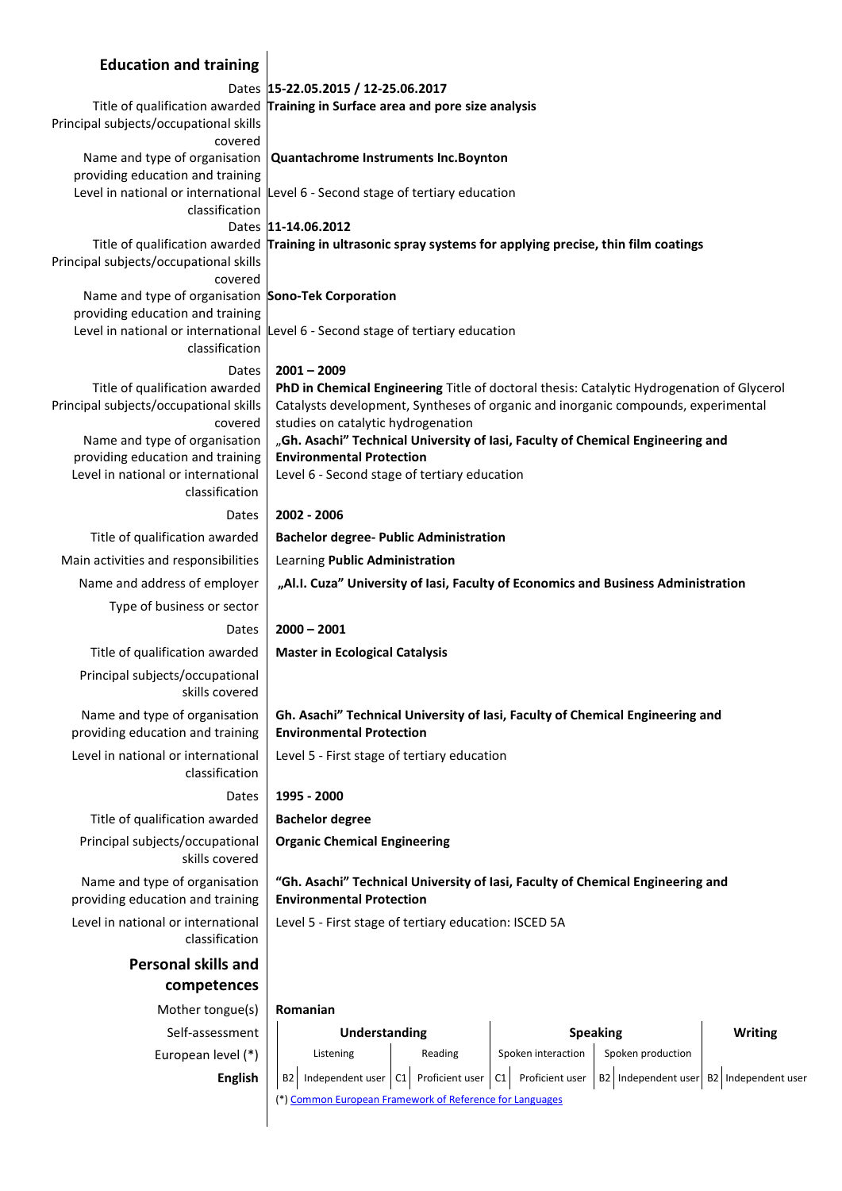| <b>Education and training</b>                                                       |                                                                                                                                                                                                                      |                       |                     |                     |
|-------------------------------------------------------------------------------------|----------------------------------------------------------------------------------------------------------------------------------------------------------------------------------------------------------------------|-----------------------|---------------------|---------------------|
|                                                                                     | Dates  15-22.05.2015 / 12-25.06.2017                                                                                                                                                                                 |                       |                     |                     |
| Principal subjects/occupational skills<br>covered                                   | Title of qualification awarded Training in Surface area and pore size analysis                                                                                                                                       |                       |                     |                     |
| Name and type of organisation<br>providing education and training                   | Quantachrome Instruments Inc. Boynton                                                                                                                                                                                |                       |                     |                     |
| classification                                                                      | Level in national or international Level 6 - Second stage of tertiary education                                                                                                                                      |                       |                     |                     |
|                                                                                     | Dates 11-14.06.2012                                                                                                                                                                                                  |                       |                     |                     |
|                                                                                     | Title of qualification awarded Training in ultrasonic spray systems for applying precise, thin film coatings                                                                                                         |                       |                     |                     |
| Principal subjects/occupational skills<br>covered                                   |                                                                                                                                                                                                                      |                       |                     |                     |
| Name and type of organisation Sono-Tek Corporation                                  |                                                                                                                                                                                                                      |                       |                     |                     |
| providing education and training                                                    | Level in national or international Level 6 - Second stage of tertiary education                                                                                                                                      |                       |                     |                     |
| classification                                                                      |                                                                                                                                                                                                                      |                       |                     |                     |
| Dates                                                                               | $2001 - 2009$                                                                                                                                                                                                        |                       |                     |                     |
| Title of qualification awarded<br>Principal subjects/occupational skills<br>covered | PhD in Chemical Engineering Title of doctoral thesis: Catalytic Hydrogenation of Glycerol<br>Catalysts development, Syntheses of organic and inorganic compounds, experimental<br>studies on catalytic hydrogenation |                       |                     |                     |
| Name and type of organisation                                                       | "Gh. Asachi" Technical University of Iasi, Faculty of Chemical Engineering and                                                                                                                                       |                       |                     |                     |
| providing education and training                                                    | <b>Environmental Protection</b>                                                                                                                                                                                      |                       |                     |                     |
| Level in national or international<br>classification                                | Level 6 - Second stage of tertiary education                                                                                                                                                                         |                       |                     |                     |
| Dates                                                                               | 2002 - 2006                                                                                                                                                                                                          |                       |                     |                     |
| Title of qualification awarded                                                      | <b>Bachelor degree- Public Administration</b>                                                                                                                                                                        |                       |                     |                     |
| Main activities and responsibilities                                                | Learning Public Administration                                                                                                                                                                                       |                       |                     |                     |
| Name and address of employer                                                        | "Al.I. Cuza" University of lasi, Faculty of Economics and Business Administration                                                                                                                                    |                       |                     |                     |
| Type of business or sector                                                          |                                                                                                                                                                                                                      |                       |                     |                     |
| Dates                                                                               | $2000 - 2001$                                                                                                                                                                                                        |                       |                     |                     |
| Title of qualification awarded                                                      | <b>Master in Ecological Catalysis</b>                                                                                                                                                                                |                       |                     |                     |
| Principal subjects/occupational<br>skills covered                                   |                                                                                                                                                                                                                      |                       |                     |                     |
| Name and type of organisation<br>providing education and training                   | Gh. Asachi" Technical University of Iasi, Faculty of Chemical Engineering and<br><b>Environmental Protection</b>                                                                                                     |                       |                     |                     |
| Level in national or international<br>classification                                | Level 5 - First stage of tertiary education                                                                                                                                                                          |                       |                     |                     |
| Dates                                                                               | 1995 - 2000                                                                                                                                                                                                          |                       |                     |                     |
| Title of qualification awarded                                                      | <b>Bachelor degree</b>                                                                                                                                                                                               |                       |                     |                     |
| Principal subjects/occupational<br>skills covered                                   | <b>Organic Chemical Engineering</b>                                                                                                                                                                                  |                       |                     |                     |
| Name and type of organisation<br>providing education and training                   | "Gh. Asachi" Technical University of Iasi, Faculty of Chemical Engineering and<br><b>Environmental Protection</b>                                                                                                    |                       |                     |                     |
| Level in national or international<br>classification                                | Level 5 - First stage of tertiary education: ISCED 5A                                                                                                                                                                |                       |                     |                     |
| <b>Personal skills and</b>                                                          |                                                                                                                                                                                                                      |                       |                     |                     |
| competences                                                                         |                                                                                                                                                                                                                      |                       |                     |                     |
| Mother tongue(s)                                                                    | Romanian                                                                                                                                                                                                             |                       |                     |                     |
| Self-assessment                                                                     | <b>Understanding</b>                                                                                                                                                                                                 |                       | <b>Speaking</b>     | <b>Writing</b>      |
| European level (*)                                                                  | Listening<br>Reading                                                                                                                                                                                                 | Spoken interaction    | Spoken production   |                     |
| <b>English</b>                                                                      | Independent user   C1<br>Proficient user<br>B <sub>2</sub><br>(*) Common European Framework of Reference for Languages                                                                                               | Proficient user<br>C1 | B2 Independent user | B2 Independent user |
|                                                                                     |                                                                                                                                                                                                                      |                       |                     |                     |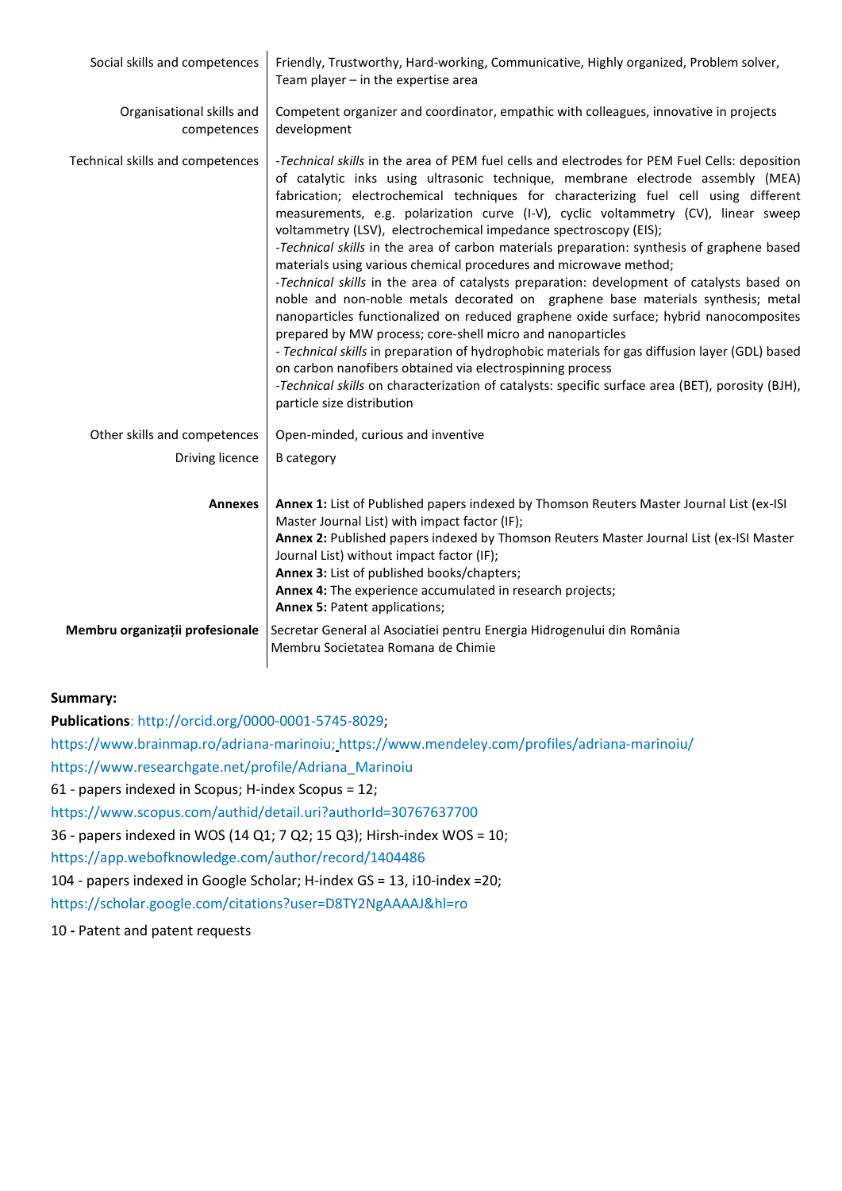| Social skills and competences            | Friendly, Trustworthy, Hard-working, Communicative, Highly organized, Problem solver,<br>Team player $-$ in the expertise area                                                                                                                                                                                                                                                                                                                                                                                                                                                                                                                                                                                                                                                                                                                                                                                                                                                                                                                                                                                                                                                                                                                 |
|------------------------------------------|------------------------------------------------------------------------------------------------------------------------------------------------------------------------------------------------------------------------------------------------------------------------------------------------------------------------------------------------------------------------------------------------------------------------------------------------------------------------------------------------------------------------------------------------------------------------------------------------------------------------------------------------------------------------------------------------------------------------------------------------------------------------------------------------------------------------------------------------------------------------------------------------------------------------------------------------------------------------------------------------------------------------------------------------------------------------------------------------------------------------------------------------------------------------------------------------------------------------------------------------|
| Organisational skills and<br>competences | Competent organizer and coordinator, empathic with colleagues, innovative in projects<br>development                                                                                                                                                                                                                                                                                                                                                                                                                                                                                                                                                                                                                                                                                                                                                                                                                                                                                                                                                                                                                                                                                                                                           |
| Technical skills and competences         | -Technical skills in the area of PEM fuel cells and electrodes for PEM Fuel Cells: deposition<br>of catalytic inks using ultrasonic technique, membrane electrode assembly (MEA)<br>fabrication; electrochemical techniques for characterizing fuel cell using different<br>measurements, e.g. polarization curve (I-V), cyclic voltammetry (CV), linear sweep<br>voltammetry (LSV), electrochemical impedance spectroscopy (EIS);<br>-Technical skills in the area of carbon materials preparation: synthesis of graphene based<br>materials using various chemical procedures and microwave method;<br>-Technical skills in the area of catalysts preparation: development of catalysts based on<br>noble and non-noble metals decorated on graphene base materials synthesis; metal<br>nanoparticles functionalized on reduced graphene oxide surface; hybrid nanocomposites<br>prepared by MW process; core-shell micro and nanoparticles<br>- Technical skills in preparation of hydrophobic materials for gas diffusion layer (GDL) based<br>on carbon nanofibers obtained via electrospinning process<br>-Technical skills on characterization of catalysts: specific surface area (BET), porosity (BJH),<br>particle size distribution |
| Other skills and competences             | Open-minded, curious and inventive                                                                                                                                                                                                                                                                                                                                                                                                                                                                                                                                                                                                                                                                                                                                                                                                                                                                                                                                                                                                                                                                                                                                                                                                             |
| Driving licence                          | <b>B</b> category                                                                                                                                                                                                                                                                                                                                                                                                                                                                                                                                                                                                                                                                                                                                                                                                                                                                                                                                                                                                                                                                                                                                                                                                                              |
| <b>Annexes</b>                           | Annex 1: List of Published papers indexed by Thomson Reuters Master Journal List (ex-ISI<br>Master Journal List) with impact factor (IF);<br>Annex 2: Published papers indexed by Thomson Reuters Master Journal List (ex-ISI Master<br>Journal List) without impact factor (IF);<br>Annex 3: List of published books/chapters;<br>Annex 4: The experience accumulated in research projects;<br><b>Annex 5: Patent applications;</b>                                                                                                                                                                                                                                                                                                                                                                                                                                                                                                                                                                                                                                                                                                                                                                                                           |
| Membru organizații profesionale          | Secretar General al Asociatiei pentru Energia Hidrogenului din România<br>Membru Societatea Romana de Chimie                                                                                                                                                                                                                                                                                                                                                                                                                                                                                                                                                                                                                                                                                                                                                                                                                                                                                                                                                                                                                                                                                                                                   |

### **Summary:**

**Publications**: http://orcid.org/0000-0001-5745-8029;

https://www.brainmap.ro/adriana-marinoiu; https://www.mendeley.com/profiles/adriana-marinoiu/

https://www.researchgate.net/profile/Adriana\_Marinoiu

61 - papers indexed in Scopus; H-index Scopus = 12;

https://www.scopus.com/authid/detail.uri?authorId=30767637700

36 - papers indexed in WOS (14 Q1; 7 Q2; 15 Q3); Hirsh-index WOS = 10;

https://app.webofknowledge.com/author/record/1404486

104 - papers indexed in Google Scholar; H-index GS = 13, i10-index =20;

https://scholar.google.com/citations?user=D8TY2NgAAAAJ&hl=ro

10 **-** Patent and patent requests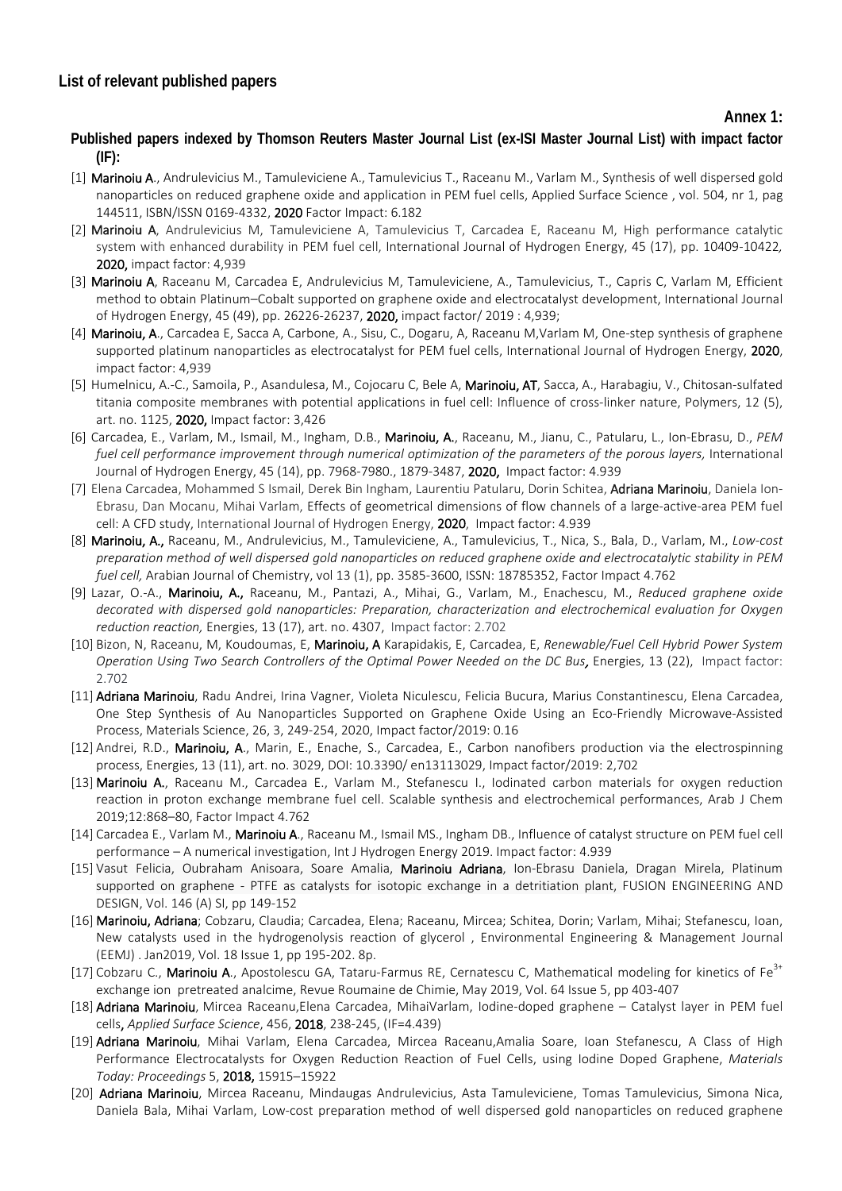**Annex 1:**

# **Published papers indexed by Thomson Reuters Master Journal List (ex-ISI Master Journal List) with impact factor (IF):**

- [1] Marinoiu A., Andrulevicius M., Tamuleviciene A., Tamulevicius T., Raceanu M., Varlam M., Synthesis of well dispersed gold nanoparticles on reduced graphene oxide and application in PEM fuel cells, Applied Surface Science , vol. 504, nr 1, pag 144511, ISBN/ISSN 0169-4332, 2020 Factor Impact: 6.182
- [2] Marinoiu A, Andrulevicius M, Tamuleviciene A, Tamulevicius T, Carcadea E, Raceanu M, High performance catalytic system with enhanced durability in PEM fuel cell, International Journal of Hydrogen Energy, 45 (17), pp. 10409-10422*,*  2020, impact factor: 4,939
- [3] Marinoiu A, Raceanu M, Carcadea E, Andrulevicius M, Tamuleviciene, A., Tamulevicius, T., Capris C, Varlam M, Efficient method to obtain Platinum–Cobalt supported on graphene oxide and electrocatalyst development, International Journal of Hydrogen Energy, 45 (49), pp. 26226-26237, 2020, impact factor/ 2019 : 4,939;
- [4] Marinoiu, A., Carcadea E, Sacca A, Carbone, A., Sisu, C., Dogaru, A, Raceanu M, Varlam M, One-step synthesis of graphene supported platinum nanoparticles as electrocatalyst for PEM fuel cells, International Journal of Hydrogen Energy, 2020, impact factor: 4,939
- [5] Humelnicu, A.-C., Samoila, P., Asandulesa, M., Cojocaru C, Bele A, Marinoiu, AT, Sacca, A., Harabagiu, V., Chitosan-sulfated titania composite membranes with potential applications in fuel cell: Influence of cross-linker nature, Polymers, 12 (5), art. no. 1125, 2020, Impact factor: 3,426
- [6] Carcadea, E., Varlam, M., Ismail, M., Ingham, D.B., Marinoiu, A., Raceanu, M., Jianu, C., Patularu, L., Ion-Ebrasu, D., *PEM*  fuel cell performance improvement through numerical optimization of the parameters of the porous layers, International Journal of Hydrogen Energy, 45 (14), pp. 7968-7980., 1879-3487, 2020, Impact factor: 4.939
- [7] Elena Carcadea, Mohammed S Ismail, Derek Bin Ingham, Laurentiu Patularu, Dorin Schitea, Adriana Marinoiu, Daniela Ion-Ebrasu, Dan Mocanu, Mihai Varlam, Effects of geometrical dimensions of flow channels of a large-active-area PEM fuel cell: A CFD study, International Journal of Hydrogen Energy, 2020, Impact factor: 4.939
- [8] Marinoiu, A., Raceanu, M., Andrulevicius, M., Tamuleviciene, A., Tamulevicius, T., Nica, S., Bala, D., Varlam, M., *Low-cost preparation method of well dispersed gold nanoparticles on reduced graphene oxide and electrocatalytic stability in PEM fuel cell,* Arabian Journal of Chemistry, vol 13 (1), pp. 3585-3600, ISSN: 18785352, Factor Impact 4.762
- [9] Lazar, O.-A., Marinoiu, A., Raceanu, M., Pantazi, A., Mihai, G., Varlam, M., Enachescu, M., *Reduced graphene oxide decorated with dispersed gold nanoparticles: Preparation, characterization and electrochemical evaluation for Oxygen reduction reaction,* Energies, 13 (17), art. no. 4307, Impact factor: 2.702
- [10] Bizon, N, Raceanu, M, Koudoumas, E, Marinoiu, A Karapidakis, E, Carcadea, E, *Renewable/Fuel Cell Hybrid Power System Operation Using Two Search Controllers of the Optimal Power Needed on the DC Bus*, Energies, 13 (22), Impact factor: 2.702
- [11] Adriana Marinoiu, Radu Andrei, Irina Vagner, Violeta Niculescu, Felicia Bucura, Marius Constantinescu, Elena Carcadea, One Step Synthesis of Au Nanoparticles Supported on Graphene Oxide Using an Eco-Friendly Microwave-Assisted Process, Materials Science, 26, 3, 249-254, 2020, Impact factor/2019: 0.16
- [12] Andrei, R.D., Marinoiu, A., Marin, E., Enache, S., Carcadea, E., Carbon nanofibers production via the electrospinning process, Energies, 13 (11), art. no. 3029, DOI: 10.3390/ en13113029, Impact factor/2019: 2,702
- [13] Marinoiu A., Raceanu M., Carcadea E., Varlam M., Stefanescu I., Iodinated carbon materials for oxygen reduction reaction in proton exchange membrane fuel cell. Scalable synthesis and electrochemical performances, Arab J Chem 2019;12:868–80, Factor Impact 4.762
- [14] Carcadea E., Varlam M., Marinoiu A., Raceanu M., Ismail MS., Ingham DB., Influence of catalyst structure on PEM fuel cell performance – A numerical investigation, Int J Hydrogen Energy 2019. Impact factor: 4.939
- [15] Vasut Felicia, Oubraham Anisoara, Soare Amalia, Marinoiu Adriana, Ion-Ebrasu Daniela, Dragan Mirela, Platinum supported on graphene - PTFE as catalysts for isotopic exchange in a detritiation plant, FUSION ENGINEERING AND DESIGN, Vol. 146 (A) SI, pp 149-152
- [16] Marinoiu, Adriana; Cobzaru, Claudia; Carcadea, Elena; Raceanu, Mircea; Schitea, Dorin; Varlam, Mihai; Stefanescu, Ioan, New catalysts used in the hydrogenolysis reaction of glycerol , Environmental Engineering & Management Journal (EEMJ) . Jan2019, Vol. 18 Issue 1, pp 195-202. 8p.
- [17] Cobzaru C., Marinoiu A., Apostolescu GA, Tataru-Farmus RE, Cernatescu C, Mathematical modeling for kinetics of Fe<sup>3+</sup> exchange ion pretreated analcime, Revue Roumaine de Chimie, May 2019, Vol. 64 Issue 5, pp 403-407
- [18] Adriana Marinoiu, [Mircea Raceanu,Elena Carcadea, MihaiVarlam,](https://www.sciencedirect.com/science/article/pii/S0169433218316672#!) Iodine-doped graphene Catalyst layer in PEM fuel cells, *[Applied Surface Science](https://www.sciencedirect.com/science/journal/01694332)*[, 456,](https://www.sciencedirect.com/science/journal/01694332/456/supp/C) 2018, 238-245, (IF=4.439)
- [19] Adriana Marinoiu, Mihai Varlam, Elena Carcadea, Mircea Raceanu, Amalia Soare, Ioan Stefanescu, A Class of High Performance Electrocatalysts for Oxygen Reduction Reaction of Fuel Cells, using Iodine Doped Graphene, *Materials Today: Proceedings* 5, 2018, 15915–15922
- [20] Adriana Marinoiu, Mircea Raceanu, Mindaugas Andrulevicius, Asta Tamuleviciene, Tomas Tamulevicius, Simona Nica, Daniela Bala, Mihai Varlam, Low-cost preparation method of well dispersed gold nanoparticles on reduced graphene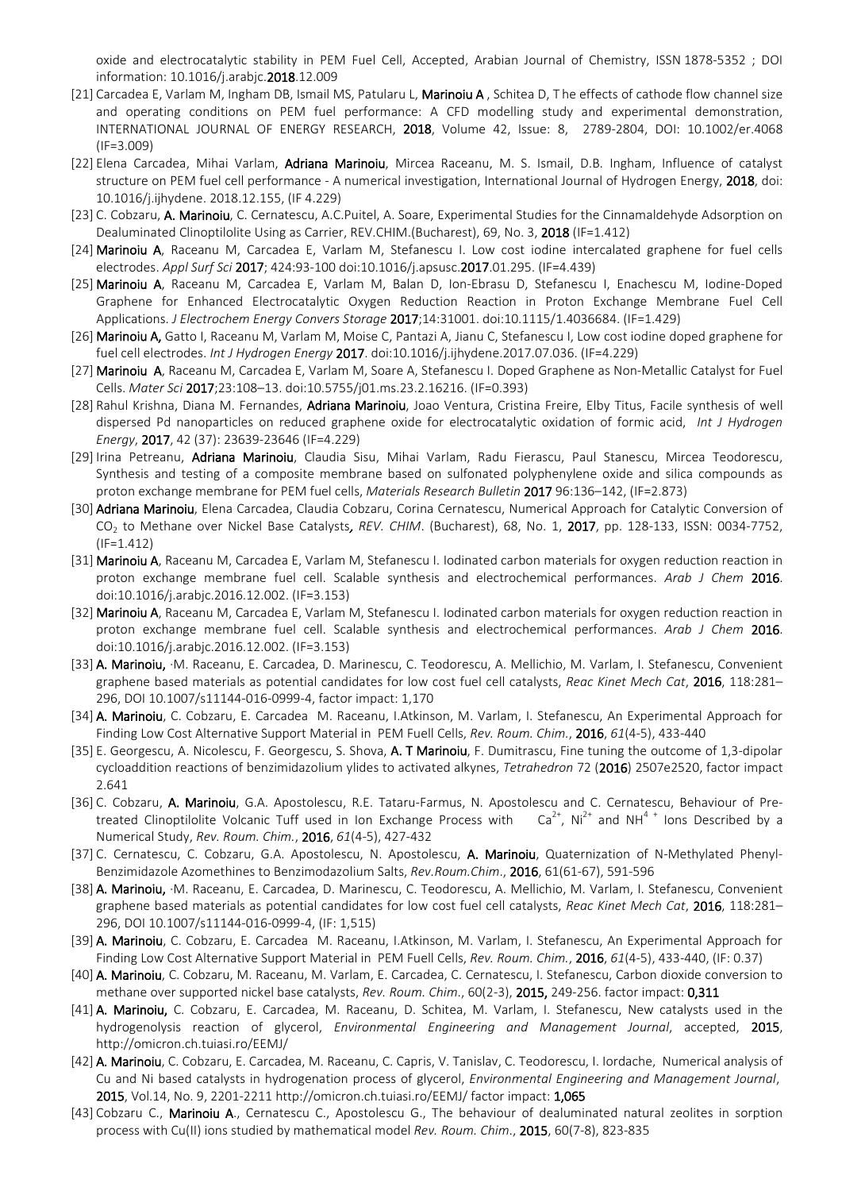oxide and electrocatalytic stability in PEM Fuel Cell, Accepted, Arabian Journal of Chemistry, ISSN [1878-5352](https://www.elsevier.com/locate/issn/1878-5352) ; DOI information: 10.1016/j.arabjc.2018.12.009

- [21] [Carcadea E,](http://apps.webofknowledge.com/DaisyOneClickSearch.do?product=WOS&search_mode=DaisyOneClickSearch&colName=WOS&SID=D4saexssetg6diEKtbx&author_name=Carcadea,%20E&dais_id=2305629&excludeEventConfig=ExcludeIfFromFullRecPage) [Varlam M,](http://apps.webofknowledge.com/DaisyOneClickSearch.do?product=WOS&search_mode=DaisyOneClickSearch&colName=WOS&SID=D4saexssetg6diEKtbx&author_name=Varlam,%20M&dais_id=2949942&excludeEventConfig=ExcludeIfFromFullRecPage) [Ingham DB,](http://apps.webofknowledge.com/DaisyOneClickSearch.do?product=WOS&search_mode=DaisyOneClickSearch&colName=WOS&SID=D4saexssetg6diEKtbx&author_name=Ingham,%20DB&dais_id=11701&excludeEventConfig=ExcludeIfFromFullRecPage) [Ismail MS,](http://apps.webofknowledge.com/DaisyOneClickSearch.do?product=WOS&search_mode=DaisyOneClickSearch&colName=WOS&SID=D4saexssetg6diEKtbx&author_name=Ismail,%20MS&dais_id=960307&excludeEventConfig=ExcludeIfFromFullRecPage) [Patularu L,](http://apps.webofknowledge.com/DaisyOneClickSearch.do?product=WOS&search_mode=DaisyOneClickSearch&colName=WOS&SID=D4saexssetg6diEKtbx&author_name=Patularu,%20L&dais_id=5898704&excludeEventConfig=ExcludeIfFromFullRecPage) [Marinoiu A](http://apps.webofknowledge.com/DaisyOneClickSearch.do?product=WOS&search_mode=DaisyOneClickSearch&colName=WOS&SID=D4saexssetg6diEKtbx&author_name=Marinoiu,%20A&dais_id=1424686&excludeEventConfig=ExcludeIfFromFullRecPage), [Schitea D,](http://apps.webofknowledge.com/DaisyOneClickSearch.do?product=WOS&search_mode=DaisyOneClickSearch&colName=WOS&SID=D4saexssetg6diEKtbx&author_name=Schitea,%20D&dais_id=6865406&excludeEventConfig=ExcludeIfFromFullRecPage) The effects of cathode flow channel size and operating conditions on PEM fuel performance: A CFD modelling study and experimental demonstration, INTERNATIONAL JOURNAL OF ENERGY RESEARCH, 2018, Volume 42, Issue: 8, 2789-2804, DOI: 10.1002/er.4068 (IF=3.009)
- [22] Elena Carcadea, Mihai Varlam, Adriana Marinoiu, Mircea Raceanu, M. S. Ismail, D.B. Ingham, Influence of catalyst structure on PEM fuel cell performance - A numerical investigation, International Journal of Hydrogen Energy, 2018, doi: 10.1016/j.ijhydene. 2018.12.155, (IF 4.229)
- [23] C. Cobzaru, A. Marinoiu, C. Cernatescu, A.C.Puitel, A. Soare, Experimental Studies for the Cinnamaldehyde Adsorption on Dealuminated Clinoptilolite Using as Carrier, REV.CHIM.(Bucharest), 69, No. 3, 2018 (IF=1.412)
- [24] Marinoiu A, Raceanu M, Carcadea E, Varlam M, Stefanescu I. Low cost iodine intercalated graphene for fuel cells electrodes. *Appl Surf Sci* 2017; 424:93-100 doi:10.1016/j.apsusc.2017.01.295. (IF=4.439)
- [25] Marinoiu A, Raceanu M, Carcadea E, Varlam M, Balan D, Ion-Ebrasu D, Stefanescu I, Enachescu M, Iodine-Doped Graphene for Enhanced Electrocatalytic Oxygen Reduction Reaction in Proton Exchange Membrane Fuel Cell Applications. *J Electrochem Energy Convers Storage* 2017;14:31001. doi:10.1115/1.4036684. (IF=1.429)
- [26] Marinoiu A, Gatto I, Raceanu M, Varlam M, Moise C, Pantazi A, Jianu C, Stefanescu I, Low cost iodine doped graphene for fuel cell electrodes. *Int J Hydrogen Energy* 2017. doi:10.1016/j.ijhydene.2017.07.036. (IF=4.229)
- [27] Marinoiu A, Raceanu M, Carcadea E, Varlam M, Soare A, Stefanescu I. Doped Graphene as Non-Metallic Catalyst for Fuel Cells. *Mater Sci* 2017;23:108–13. doi:10.5755/j01.ms.23.2.16216. (IF=0.393)
- [28] Rahul Krishna, Diana M. Fernandes, Adriana Marinoiu, Joao Ventura, Cristina Freire, Elby Titus, Facile synthesis of well [dispersed Pd nanoparticles on reduced graphene oxide for electrocatalytic oxidation of formic acid,](http://www.sciencedirect.com/science/article/pii/S0360319917317494) *Int J Hydrogen Energy*, 2017, 42 (37): 23639-23646 (IF=4.229)
- [29] Irina Petreanu, Adriana Marinoiu, Claudia Sisu, Mihai Varlam, Radu Fierascu, Paul Stanescu, Mircea Teodorescu, Synthesis and testing of a composite membrane based on sulfonated polyphenylene oxide and silica compounds as proton exchange membrane for PEM fuel cells, *Materials Research Bulletin* 2017 96:136–142, (IF=2.873)
- [30] Adriana Marinoiu, Elena Carcadea, Claudia Cobzaru, Corina Cernatescu, Numerical Approach for Catalytic Conversion of CO2 to Methane over Nickel Base Catalysts, *REV. CHIM*. (Bucharest), 68, No. 1, 2017, pp. 128-133, ISSN: 0034-7752, (IF=1.412)
- [31] Marinoiu A, Raceanu M, Carcadea E, Varlam M, Stefanescu I. Iodinated carbon materials for oxygen reduction reaction in proton exchange membrane fuel cell. Scalable synthesis and electrochemical performances. *Arab J Chem* 2016. doi:10.1016/j.arabjc.2016.12.002. (IF=3.153)
- [32] Marinoiu A, Raceanu M, Carcadea E, Varlam M, Stefanescu I. Iodinated carbon materials for oxygen reduction reaction in proton exchange membrane fuel cell. Scalable synthesis and electrochemical performances. *Arab J Chem* 2016. doi:10.1016/j.arabjc.2016.12.002. (IF=3.153)
- [33] A. Marinoiu, [·M. Raceanu,](https://www.researchgate.net/researcher/2008183460_Mircea_Raceanu) [E. Carcadea,](https://www.researchgate.net/researcher/73069938_Elena_Carcadea) [D. Marinescu,](https://www.researchgate.net/researcher/77642179_Daniela_Marinescu) [C. Teodorescu,](https://www.researchgate.net/researcher/77738154_Constantin_Teodorescu) [A. Mellichio,](https://www.researchgate.net/researcher/2099909027_Alessandro_Mellichio) [M. Varlam,](https://www.researchgate.net/researcher/2008210984_Mihai_Varlam) [I. Stefanescu,](https://www.researchgate.net/researcher/2099863072_Ioan_Stefanescu) Convenient [graphene based materials as potential candidates for low cost fuel cell catalysts,](https://www.researchgate.net/publication/295223154_Convenient_graphene_based_materials_as_potential_candidates_for_low_cost_fuel_cell_catalysts?ev=prf_pub) *Reac Kinet Mech Cat*, 2016, 118:281– 296, DOI 10.1007/s11144-016-0999-4, factor impact: 1,170
- [34] A. Marinoiu, C. Cobzaru, E. Carcadea M. Raceanu, I.Atkinson, M. Varlam, I. Stefanescu, An Experimental Approach for Finding Low Cost Alternative Support Material in PEM Fuell Cells, *Rev. Roum. Chim.*, 2016, *61*(4-5), 433-440
- [35] E. Georgescu, A. Nicolescu, F. Georgescu, S. Shova, A. T Marinoiu, F. Dumitrascu, Fine tuning the outcome of 1,3-dipolar cycloaddition reactions of benzimidazolium ylides to activated alkynes, *Tetrahedron* 72 (2016) 2507e2520, factor impact 2.641
- [36] C. Cobzaru, A. Marinoiu, G.A. Apostolescu, R.E. Tataru-Farmus, N. Apostolescu and C. Cernatescu, Behaviour of Pretreated Clinoptilolite Volcanic Tuff used in Ion Exchange Process with  $Ca^{2+}$ , Ni<sup>2+</sup> and NH<sup>4+</sup> lons Described by a Numerical Study, *Rev. Roum. Chim.*, 2016, *61*(4-5), 427-432
- [37] C. Cernatescu, C. Cobzaru, G.A. Apostolescu, N. Apostolescu, A. Marinoiu, Quaternization of N-Methylated Phenyl-Benzimidazole Azomethines to Benzimodazolium Salts, *Rev.Roum.Chim*., 2016, 61(61-67), 591-596
- [38] A. Marinoiu, [·M. Raceanu,](https://www.researchgate.net/researcher/2008183460_Mircea_Raceanu) [E. Carcadea,](https://www.researchgate.net/researcher/73069938_Elena_Carcadea) [D. Marinescu,](https://www.researchgate.net/researcher/77642179_Daniela_Marinescu) [C. Teodorescu,](https://www.researchgate.net/researcher/77738154_Constantin_Teodorescu) [A. Mellichio,](https://www.researchgate.net/researcher/2099909027_Alessandro_Mellichio) [M. Varlam,](https://www.researchgate.net/researcher/2008210984_Mihai_Varlam) [I. Stefanescu,](https://www.researchgate.net/researcher/2099863072_Ioan_Stefanescu) Convenient [graphene based materials as potential candidates for low](https://www.researchgate.net/publication/295223154_Convenient_graphene_based_materials_as_potential_candidates_for_low_cost_fuel_cell_catalysts?ev=prf_pub) cost fuel cell catalysts, *Reac Kinet Mech Cat*, 2016, 118:281– 296, DOI 10.1007/s11144-016-0999-4, (IF: 1,515)
- [39] A. Marinoiu, C. Cobzaru, E. Carcadea M. Raceanu, I.Atkinson, M. Varlam, I. Stefanescu, An Experimental Approach for Finding Low Cost Alternative Support Material in PEM Fuell Cells, *Rev. Roum. Chim.*, 2016, *61*(4-5), 433-440, (IF: 0.37)
- [40] A. Marinoiu, C. Cobzaru, M. Raceanu, M. Varlam, E. Carcadea, C. Cernatescu, I. Stefanescu, Carbon dioxide conversion to methane over supported nickel base catalysts, *Rev. Roum. Chim*., 60(2-3), 2015, 249-256. factor impact: 0,311
- [41] A. Marinoiu, C. Cobzaru, E. Carcadea, M. Raceanu, D. Schitea, M. Varlam, I. Stefanescu, New catalysts used in the hydrogenolysis reaction of glycerol, *Environmental Engineering and Management Journal*, accepted, 2015, <http://omicron.ch.tuiasi.ro/EEMJ/>
- [42] A. Marinoiu, C. Cobzaru, E. Carcadea, M. Raceanu, C. Capris, V. Tanislav, C. Teodorescu, I. Iordache, Numerical analysis of Cu and Ni based catalysts in hydrogenation process of glycerol, *Environmental Engineering and Management Journal*, 2015, Vol.14, No. 9, 2201-2211 http://omicron.ch.tuiasi.ro/EEMJ/ factor impact: 1,065
- [43] Cobzaru C., Marinoiu A., Cernatescu C., Apostolescu G., The behaviour of dealuminated natural zeolites in sorption process with Cu(II) ions studied by mathematical model *Rev. Roum. Chim*., 2015, 60(7-8), 823-835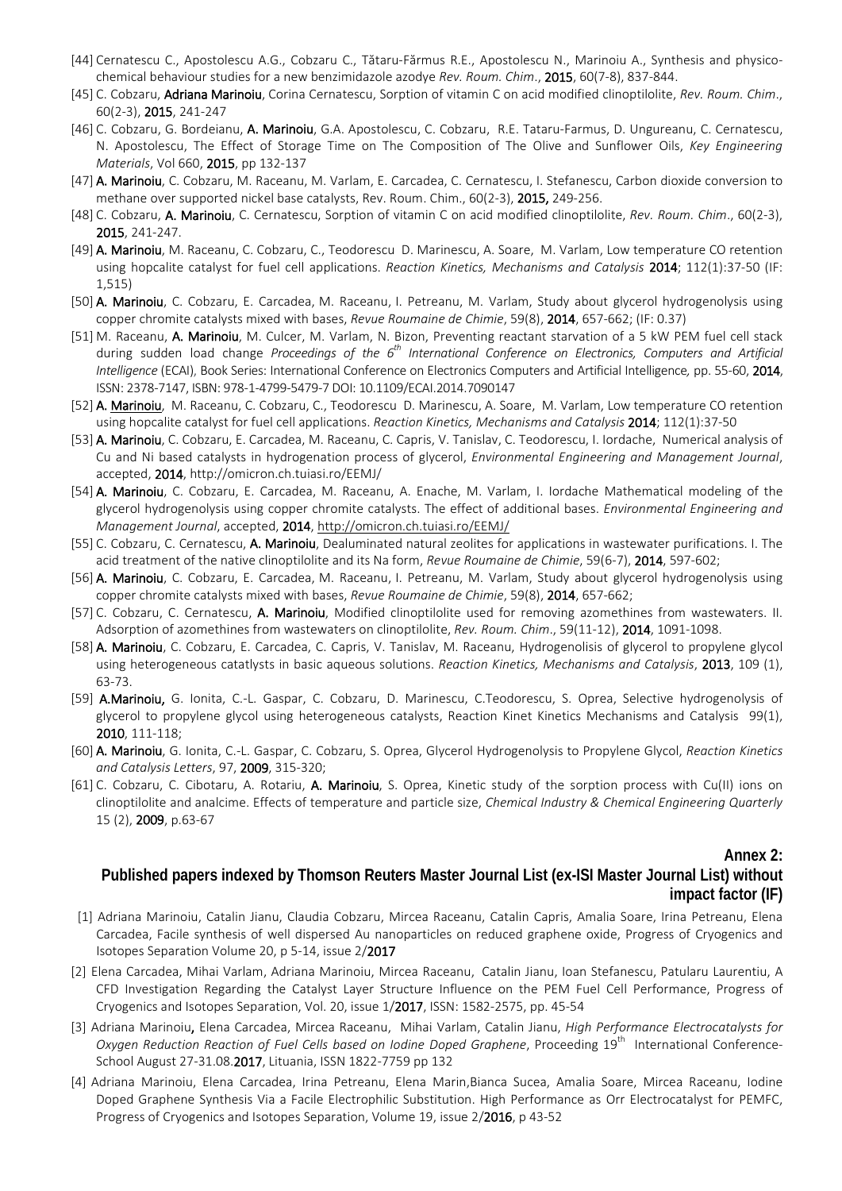- [44] Cernatescu C., Apostolescu A.G., Cobzaru C., Tătaru-Fărmus R.E., Apostolescu N., Marinoiu A., Synthesis and physicochemical behaviour studies for a new benzimidazole azodye *Rev. Roum. Chim*., 2015, 60(7-8), 837-844.
- [45] C. Cobzaru, Adriana Marinoiu, Corina Cernatescu, Sorption of vitamin C on acid modified clinoptilolite, *Rev. Roum. Chim*., 60(2-3), 2015, 241-247
- [46] C. Cobzaru, G. Bordeianu, A. Marinoiu, G.A. Apostolescu, C. Cobzaru, R.E. Tataru-Farmus, D. Ungureanu, C. Cernatescu, N. Apostolescu, The Effect of Storage Time on The Composition of The Olive and Sunflower Oils, *Key Engineering Materials*, Vol 660, 2015, pp 132-137
- [47] A. Marinoiu, C. Cobzaru, M. Raceanu, M. Varlam, E. Carcadea, C. Cernatescu, I. Stefanescu, Carbon dioxide conversion to methane over supported nickel base catalysts, Rev. Roum. Chim., 60(2-3), 2015, 249-256.
- [48] C. Cobzaru, A. Marinoiu, C. Cernatescu, Sorption of vitamin C on acid modified clinoptilolite, *Rev. Roum. Chim*., 60(2-3), 2015, 241-247.
- [49] A. [Marinoiu,](http://link.springer.com/search?facet-author=%22Adriana+Marinoiu%22) M. [Raceanu, C](http://link.springer.com/search?facet-author=%22Mircea+Raceanu%22). [Cobzaru,](http://link.springer.com/search?facet-author=%22Mircea+Raceanu%22) C., [Teodorescu](http://link.springer.com/search?facet-author=%22Constantin+Teodorescu%22) [D. Marinescu,](http://link.springer.com/search?facet-author=%22Daniela+Marinescu%22) [A. Soare,](http://link.springer.com/search?facet-author=%22Amalia+Soare%22) [M. Varlam,](http://link.springer.com/search?facet-author=%22Mihai+Varlam%22) Low temperature CO retention using hopcalite catalyst for fuel cell applications. *Reaction Kinetics, Mechanisms and Catalysis* 2014; 112(1):37-50 (IF: 1,515)
- [50] A. Marinoiu, C. Cobzaru, E. Carcadea, M. Raceanu, I. Petreanu, M. Varlam, Study about glycerol hydrogenolysis using copper chromite catalysts mixed with bases, *Revue Roumaine de Chimie*, 59(8), 2014, 657-662; (IF: 0.37)
- [51] M. Raceanu, A. Marinoiu, M. Culcer, M. Varlam, N. Bizon, Preventing reactant starvation of a 5 kW PEM fuel cell stack during sudden load change *Proceedings of the 6th International Conference on Electronics, Computers and Artificial Intelligence* (ECAI), Book Series: International Conference on Electronics Computers and Artificial Intelligence*,* pp. 55-60, 2014, ISSN: 2378-7147, ISBN: 978-1-4799-5479-7 DOI: [10.1109/ECAI.2014.7090147](https://doi.org/10.1109/ECAI.2014.7090147)
- [52] A. [Marinoiu,](http://link.springer.com/search?facet-author=%22Adriana+Marinoiu%22) M. [Raceanu, C](http://link.springer.com/search?facet-author=%22Mircea+Raceanu%22). [Cobzaru,](http://link.springer.com/search?facet-author=%22Mircea+Raceanu%22) C., [Teodorescu](http://link.springer.com/search?facet-author=%22Constantin+Teodorescu%22) [D. Marinescu,](http://link.springer.com/search?facet-author=%22Daniela+Marinescu%22) [A. Soare,](http://link.springer.com/search?facet-author=%22Amalia+Soare%22) [M. Varlam,](http://link.springer.com/search?facet-author=%22Mihai+Varlam%22) Low temperature CO retention using hopcalite catalyst for fuel cell applications. *Reaction Kinetics, Mechanisms and Catalysis* 2014; 112(1):37-50
- [53] A. Marinoiu, C. Cobzaru, E. Carcadea, M. Raceanu, C. Capris, V. Tanislav, C. Teodorescu, I. Iordache, Numerical analysis of Cu and Ni based catalysts in hydrogenation process of glycerol, *Environmental Engineering and Management Journal*, accepted, 2014, http://omicron.ch.tuiasi.ro/EEMJ/
- [54] A. Marinoiu, C. Cobzaru, E. Carcadea, M. Raceanu, A. Enache, M. Varlam, I. Iordache Mathematical modeling of the glycerol hydrogenolysis using copper chromite catalysts. The effect of additional bases. *Environmental Engineering and Management Journal*, accepted, 2014[, http://omicron.ch.tuiasi.ro/EEMJ/](http://omicron.ch.tuiasi.ro/EEMJ/)
- [55] C. Cobzaru, C. Cernatescu, A. Marinoiu, Dealuminated natural zeolites for applications in wastewater purifications. I. The acid treatment of the native clinoptilolite and its Na form, *Revue Roumaine de Chimie*, 59(6-7), 2014, 597-602;
- [56] A. Marinoiu, C. Cobzaru, E. Carcadea, M. Raceanu, I. Petreanu, M. Varlam, Study about glycerol hydrogenolysis using copper chromite catalysts mixed with bases, *Revue Roumaine de Chimie*, 59(8), 2014, 657-662;
- [57] C. Cobzaru, C. Cernatescu, A. Marinoiu, Modified clinoptilolite used for removing azomethines from wastewaters. II. Adsorption of azomethines from wastewaters on clinoptilolite, *Rev. Roum. Chim*., 59(11-12), 2014, 1091-1098.
- [58] A. Marinoiu, C. Cobzaru, E. Carcadea, C. Capris, V. Tanislav, M. Raceanu, Hydrogenolisis of glycerol to propylene glycol using heterogeneous catatlysts in basic aqueous solutions. *Reaction Kinetics, Mechanisms and Catalysis*, 2013, 109 (1), 63-73.
- [59] A.Marinoiu, G. Ionita, C.-L. Gaspar, C. Cobzaru, D. Marinescu, C.Teodorescu, S. Oprea, Selective hydrogenolysis of glycerol to propylene glycol using heterogeneous catalysts, Reaction Kinet Kinetics Mechanisms and Catalysis 99(1), 2010, 111-118;
- [60] A. Marinoiu, G. Ionita, C.-L. Gaspar, C. Cobzaru, S. Oprea, Glycerol Hydrogenolysis to Propylene Glycol, *Reaction Kinetics and Catalysis Letters*, 97, 2009, 315-320;
- [61] C. Cobzaru, C. Cibotaru, A. Rotariu, A. Marinoiu, S. Oprea, Kinetic study of the sorption process with Cu(II) ions on [clinoptilolite and analcime. Effects of temperature and particle size,](http://www.ache.org.rs/CICEQ/2009/No2/CICEQ_Vol15_%20No2_pp63-67_Apr-Jun_2009.pdf) *Chemical Industry & Chemical Engineering Quarterly* 15 (2), 2009, p.63-67

#### **Annex 2:**

# **Published papers indexed by Thomson Reuters Master Journal List (ex-ISI Master Journal List) without impact factor (IF)**

- [1] Adriana Marinoiu, Catalin Jianu, Claudia Cobzaru, Mircea Raceanu, Catalin Capris, Amalia Soare, Irina Petreanu, Elena Carcadea, Facile synthesis of well dispersed Au nanoparticles on reduced graphene oxide, Progress of Cryogenics and Isotopes Separation Volume 20, p 5-14, issue 2/2017
- [2] Elena Carcadea, Mihai Varlam, Adriana Marinoiu, Mircea Raceanu, Catalin Jianu, Ioan Stefanescu, Patularu Laurentiu, A CFD Investigation Regarding the Catalyst Layer Structure Influence on the PEM Fuel Cell Performance, Progress of Cryogenics and Isotopes Separation, Vol. 20, issue 1/2017, ISSN: 1582-2575, pp. 45-54
- [3] Adriana Marinoiu, Elena Carcadea, Mircea Raceanu, Mihai Varlam, Catalin Jianu, *High Performance Electrocatalysts for Oxygen Reduction Reaction of Fuel Cells based on Iodine Doped Graphene*, Proceeding 19<sup>th</sup> International Conference-School August 27-31.08.2017, Lituania, ISSN 1822-7759 pp 132
- [4] Adriana Marinoiu, Elena Carcadea, Irina Petreanu, Elena Marin,Bianca Sucea, Amalia Soare, Mircea Raceanu, Iodine Doped Graphene Synthesis Via a Facile Electrophilic Substitution. High Performance as Orr Electrocatalyst for PEMFC, Progress of Cryogenics and Isotopes Separation, Volume 19, issue 2/2016, p 43-52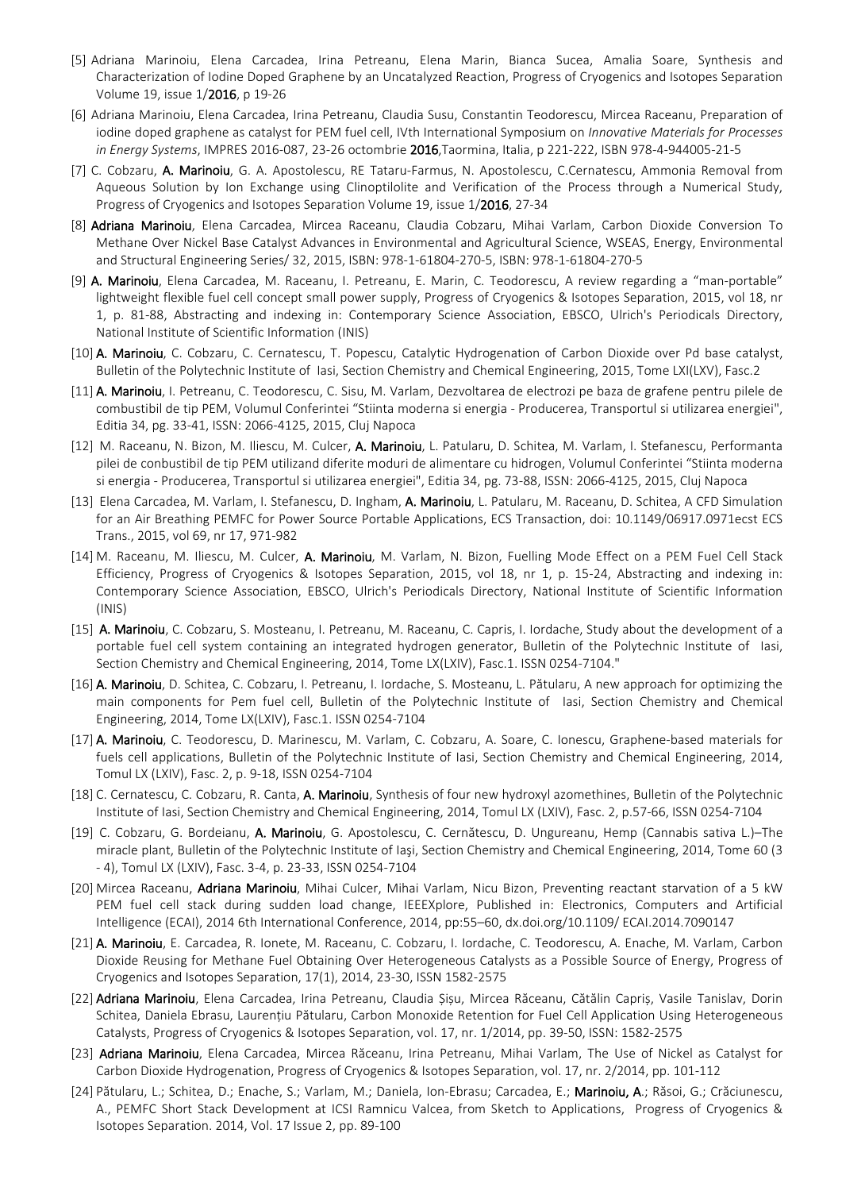- [5] Adriana Marinoiu, Elena Carcadea, Irina Petreanu, Elena Marin, Bianca Sucea, Amalia Soare, Synthesis and Characterization of Iodine Doped Graphene by an Uncatalyzed Reaction, Progress of Cryogenics and Isotopes Separation Volume 19, issue 1/2016, p 19-26
- [6] Adriana Marinoiu, Elena Carcadea, Irina Petreanu, Claudia Susu, Constantin Teodorescu, Mircea Raceanu, Preparation of iodine doped graphene as catalyst for PEM fuel cell, IVth International Symposium on *Innovative Materials for Processes in Energy Systems*, IMPRES 2016-087, 23-26 octombrie 2016,Taormina, Italia, p 221-222, ISBN 978-4-944005-21-5
- [7] C. Cobzaru, A. Marinoiu, G. A. Apostolescu, RE Tataru-Farmus, N. Apostolescu, C.Cernatescu, Ammonia Removal from Aqueous Solution by Ion Exchange using Clinoptilolite and Verification of the Process through a Numerical Study, Progress of Cryogenics and Isotopes Separation Volume 19, issue 1/2016, 27-34
- [8] Adriana Marinoiu, Elena Carcadea, Mircea Raceanu, Claudia Cobzaru, Mihai Varlam, Carbon Dioxide Conversion To Methane Over Nickel Base Catalyst Advances in Environmental and Agricultural Science, WSEAS, Energy, Environmental and Structural Engineering Series/ 32, 2015, ISBN: 978-1-61804-270-5, ISBN: 978-1-61804-270-5
- [9] A. Marinoiu, Elena Carcadea, M. Raceanu, I. Petreanu, E. Marin, C. Teodorescu, A review regarding a "man-portable" lightweight flexible fuel cell concept small power supply, Progress of Cryogenics & Isotopes Separation, 2015, vol 18, nr 1, p. 81-88, Abstracting and indexing in: Contemporary Science Association, EBSCO, Ulrich's Periodicals Directory, National Institute of Scientific Information (INIS)
- [10] A. Marinoiu, C. Cobzaru, C. Cernatescu, T. Popescu, Catalytic Hydrogenation of Carbon Dioxide over Pd base catalyst, Bulletin of the Polytechnic Institute of Iasi, Section Chemistry and Chemical Engineering, 2015, Tome LXI(LXV), Fasc.2
- [11] A. Marinoiu, I. Petreanu, C. Teodorescu, C. Sisu, M. Varlam, Dezvoltarea de electrozi pe baza de grafene pentru pilele de combustibil de tip PEM, Volumul Conferintei "Stiinta moderna si energia - Producerea, Transportul si utilizarea energiei", Editia 34, pg. 33-41, ISSN: 2066-4125, 2015, Cluj Napoca
- [12] M. Raceanu, N. Bizon, M. Iliescu, M. Culcer, A. Marinoiu, L. Patularu, D. Schitea, M. Varlam, I. Stefanescu, Performanta pilei de conbustibil de tip PEM utilizand diferite moduri de alimentare cu hidrogen, Volumul Conferintei "Stiinta moderna si energia - Producerea, Transportul si utilizarea energiei", Editia 34, pg. 73-88, ISSN: 2066-4125, 2015, Cluj Napoca
- [13] Elena Carcadea, M. Varlam, I. Stefanescu, D. Ingham, A. Marinoiu, L. Patularu, M. Raceanu, D. Schitea, A CFD Simulation for an Air Breathing PEMFC for Power Source Portable Applications, ECS Transaction, doi: 10.1149/06917.0971ecst ECS Trans., 2015, vol 69, nr 17, 971-982
- [14] M. Raceanu, M. Iliescu, M. Culcer, A. Marinoiu, M. Varlam, N. Bizon, Fuelling Mode Effect on a PEM Fuel Cell Stack Efficiency, Progress of Cryogenics & Isotopes Separation, 2015, vol 18, nr 1, p. 15-24, Abstracting and indexing in: Contemporary Science Association, EBSCO, Ulrich's Periodicals Directory, National Institute of Scientific Information (INIS)
- [15] A. Marinoiu, C. Cobzaru, S. Mosteanu, I. Petreanu, M. Raceanu, C. Capris, I. Iordache, Study about the development of a portable fuel cell system containing an integrated hydrogen generator, Bulletin of the Polytechnic Institute of Iasi, Section Chemistry and Chemical Engineering, 2014, Tome LX(LXIV), Fasc.1. ISSN 0254-7104."
- [16] A. Marinoiu, D. Schitea, C. Cobzaru, I. Petreanu, I. Iordache, S. Mosteanu, L. Pătularu, A new approach for optimizing the main components for Pem fuel cell, Bulletin of the Polytechnic Institute of Iasi, Section Chemistry and Chemical Engineering, 2014, Tome LX(LXIV), Fasc.1. ISSN 0254-7104
- [17] A. Marinoiu, C. Teodorescu, D. Marinescu, M. Varlam, C. Cobzaru, A. Soare, C. Ionescu, Graphene-based materials for fuels cell applications, Bulletin of the Polytechnic Institute of Iasi, Section Chemistry and Chemical Engineering, 2014, Tomul LX (LXIV), Fasc. 2, p. 9-18, ISSN 0254-7104
- [18] C. Cernatescu, C. Cobzaru, R. Canta, A. Marinoiu, Synthesis of four new hydroxyl azomethines, Bulletin of the Polytechnic Institute of Iasi, Section Chemistry and Chemical Engineering, 2014, Tomul LX (LXIV), Fasc. 2, p.57-66, ISSN 0254-7104
- [19] C. Cobzaru, G. Bordeianu, A. Marinoiu, G. Apostolescu, C. Cernătescu, D. Ungureanu, Hemp (Cannabis sativa L.)–The miracle plant, Bulletin of the Polytechnic Institute of Iaşi, Section Chemistry and Chemical Engineering, 2014, Tome 60 (3 - 4), Tomul LX (LXIV), Fasc. 3-4, p. 23-33, ISSN 0254-7104
- [20] Mircea Raceanu, Adriana Marinoiu, Mihai Culcer, Mihai Varlam, Nicu Bizon, Preventing reactant starvation of a 5 kW PEM fuel cell stack during sudden load change, IEEEXplore, Published in: Electronics, Computers and Artificial Intelligence (ECAI), 2014 6th International Conference, 2014, pp:55–60, dx.doi.org/10.1109/ ECAI.2014.7090147
- [21] A. Marinoiu, E. Carcadea, R. Ionete, M. Raceanu, C. Cobzaru, I. Iordache, C. Teodorescu, A. Enache, M. Varlam, Carbon Dioxide Reusing for Methane Fuel Obtaining Over Heterogeneous Catalysts as a Possible Source of Energy, Progress of Cryogenics and Isotopes Separation, 17(1), 2014, 23-30, ISSN 1582-2575
- [22] Adriana Marinoiu, Elena Carcadea, Irina Petreanu, Claudia Șișu, Mircea Răceanu, Cătălin Capriș, Vasile Tanislav, Dorin Schitea, Daniela Ebrasu, Laurențiu Pătularu, Carbon Monoxide Retention for Fuel Cell Application Using Heterogeneous Catalysts, Progress of Cryogenics & Isotopes Separation, vol. 17, nr. 1/2014, pp. 39-50, ISSN: 1582-2575
- [23] Adriana Marinoiu, Elena Carcadea, Mircea Răceanu, Irina Petreanu, Mihai Varlam, The Use of Nickel as Catalyst for Carbon Dioxide Hydrogenation, Progress of Cryogenics & Isotopes Separation, vol. 17, nr. 2/2014, pp. 101-112
- [24] Pătularu, L.; Schitea, D.; Enache, S.; Varlam, M.; Daniela, Ion-Ebrasu; Carcadea, E.; Marinoiu, A.; Răsoi, G.; Crăciunescu, A., PEMFC Short Stack Development at ICSI Ramnicu Valcea, from Sketch to Applications, Progress of Cryogenics & Isotopes Separation. 2014, Vol. 17 Issue 2, pp. 89-100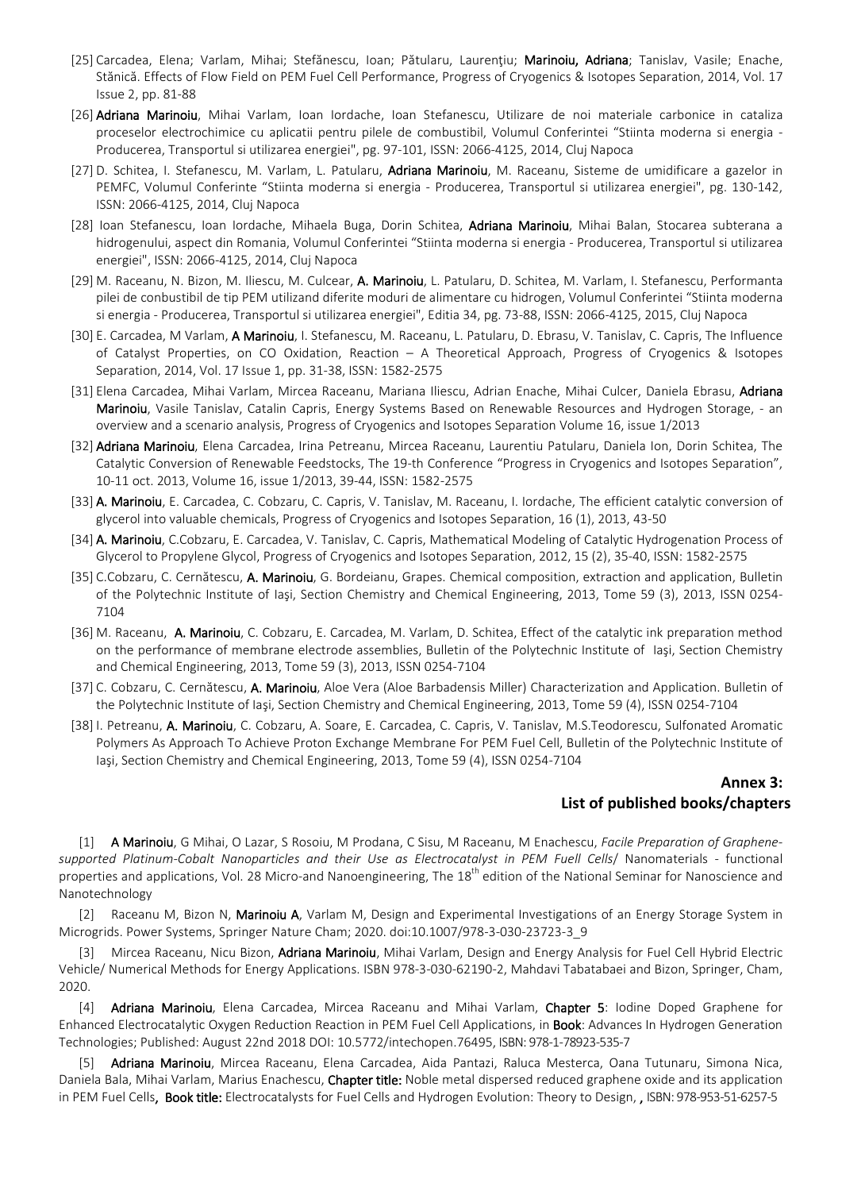- [25] Carcadea, Elena; Varlam, Mihai; Stefănescu, Ioan; Pătularu, Laurenţiu; Marinoiu, Adriana; Tanislav, Vasile; Enache, Stănică. Effects of Flow Field on PEM Fuel Cell Performance, Progress of Cryogenics & Isotopes Separation, 2014, Vol. 17 Issue 2, pp. 81-88
- [26] Adriana Marinoiu, Mihai Varlam, Ioan Iordache, Ioan Stefanescu, Utilizare de noi materiale carbonice in cataliza proceselor electrochimice cu aplicatii pentru pilele de combustibil, Volumul Conferintei "Stiinta moderna si energia - Producerea, Transportul si utilizarea energiei", pg. 97-101, ISSN: 2066-4125, 2014, Cluj Napoca
- [27] D. Schitea, I. Stefanescu, M. Varlam, L. Patularu, Adriana Marinoiu, M. Raceanu, Sisteme de umidificare a gazelor in PEMFC, Volumul Conferinte "Stiinta moderna si energia - Producerea, Transportul si utilizarea energiei", pg. 130-142, ISSN: 2066-4125, 2014, Cluj Napoca
- [28] Ioan Stefanescu, Ioan Iordache, Mihaela Buga, Dorin Schitea, Adriana Marinoiu, Mihai Balan, Stocarea subterana a hidrogenului, aspect din Romania, Volumul Conferintei "Stiinta moderna si energia - Producerea, Transportul si utilizarea energiei", ISSN: 2066-4125, 2014, Cluj Napoca
- [29] M. Raceanu, N. Bizon, M. Iliescu, M. Culcear, A. Marinoiu, L. Patularu, D. Schitea, M. Varlam, I. Stefanescu, Performanta pilei de conbustibil de tip PEM utilizand diferite moduri de alimentare cu hidrogen, Volumul Conferintei "Stiinta moderna si energia - Producerea, Transportul si utilizarea energiei", Editia 34, pg. 73-88, ISSN: 2066-4125, 2015, Cluj Napoca
- [30] E. Carcadea, M Varlam, A Marinoiu, I. Stefanescu, M. Raceanu, L. Patularu, D. Ebrasu, V. Tanislav, C. Capris, The Influence of Catalyst Properties, on CO Oxidation, Reaction – A Theoretical Approach, Progress of Cryogenics & Isotopes Separation, 2014, Vol. 17 Issue 1, pp. 31-38, ISSN: 1582-2575
- [31] Elena Carcadea, Mihai Varlam, Mircea Raceanu, Mariana Iliescu, Adrian Enache, Mihai Culcer, Daniela Ebrasu, Adriana Marinoiu, Vasile Tanislav, Catalin Capris, Energy Systems Based on Renewable Resources and Hydrogen Storage, - an overview and a scenario analysis, Progress of Cryogenics and Isotopes Separation Volume 16, issue 1/2013
- [32] Adriana Marinoiu, Elena Carcadea, Irina Petreanu, Mircea Raceanu, Laurentiu Patularu, Daniela Ion, Dorin Schitea, The Catalytic Conversion of Renewable Feedstocks, The 19-th Conference "Progress in Cryogenics and Isotopes Separation", 10-11 oct. 2013, Volume 16, issue 1/2013, 39-44, ISSN: 1582-2575
- [33] A. Marinoiu, E. Carcadea, C. Cobzaru, C. Capris, V. Tanislav, M. Raceanu, I. Iordache, The efficient catalytic conversion of glycerol into valuable chemicals, Progress of Cryogenics and Isotopes Separation, 16 (1), 2013, 43-50
- [34] A. Marinoiu, C.Cobzaru, E. Carcadea, V. Tanislav, C. Capris, Mathematical Modeling of Catalytic Hydrogenation Process of Glycerol to Propylene Glycol, Progress of Cryogenics and Isotopes Separation, 2012, 15 (2), 35-40, ISSN: 1582-2575
- [35] C.Cobzaru, C. Cernătescu, A. Marinoiu, G. Bordeianu, Grapes. Chemical composition, extraction and application, Bulletin of the Polytechnic Institute of Iaşi, Section Chemistry and Chemical Engineering, 2013, Tome 59 (3), 2013, ISSN 0254- 7104
- [36] M. Raceanu, A. Marinoiu, C. Cobzaru, E. Carcadea, M. Varlam, D. Schitea, Effect of the catalytic ink preparation method on the performance of membrane electrode assemblies, Bulletin of the Polytechnic Institute of Iaşi, Section Chemistry and Chemical Engineering, 2013, Tome 59 (3), 2013, ISSN 0254-7104
- [37] C. Cobzaru, C. Cernătescu, A. Marinoiu, Aloe Vera (Aloe Barbadensis Miller) Characterization and Application. Bulletin of the Polytechnic Institute of Iaşi, Section Chemistry and Chemical Engineering, 2013, Tome 59 (4), ISSN 0254-7104
- [38] I. Petreanu, A. Marinoiu, C. Cobzaru, A. Soare, E. Carcadea, C. Capris, V. Tanislav, M.S.Teodorescu, Sulfonated Aromatic Polymers As Approach To Achieve Proton Exchange Membrane For PEM Fuel Cell, Bulletin of the Polytechnic Institute of Iaşi, Section Chemistry and Chemical Engineering, 2013, Tome 59 (4), ISSN 0254-7104

# **Annex 3: List of published books/chapters**

[1] A Marinoiu, G Mihai, O Lazar, S Rosoiu, M Prodana, C Sisu, M Raceanu, M Enachescu, *Facile Preparation of Graphenesupported Platinum-Cobalt Nanoparticles and their Use as Electrocatalyst in PEM Fuell Cells*/ Nanomaterials - functional properties and applications, Vol. 28 Micro-and Nanoengineering, The 18<sup>th</sup> edition of the National Seminar for Nanoscience and Nanotechnology

[2] Raceanu M, Bizon N, Marinoiu A, Varlam M, Design and Experimental Investigations of an Energy Storage System in Microgrids. Power Systems, Springer Nature Cham; 2020. doi:10.1007/978-3-030-23723-3\_9

[3] Mircea Raceanu, Nicu Bizon, Adriana Marinoiu, Mihai Varlam, Design and Energy Analysis for Fuel Cell Hybrid Electric Vehicle/ Numerical Methods for Energy Applications. ISBN 978-3-030-62190-2, Mahdavi Tabatabaei and Bizon, Springer, Cham, 2020.

[4] Adriana Marinoiu, Elena Carcadea, Mircea Raceanu and Mihai Varlam, Chapter 5: Iodine Doped Graphene for Enhanced Electrocatalytic Oxygen Reduction Reaction in PEM Fuel Cell Applications, in Book: Advances In Hydrogen Generation Technologies; Published: August 22nd 2018 DOI: 10.5772/intechopen.76495, ISBN: 978-1-78923-535-7

Adriana Marinoiu, Mircea Raceanu, Elena Carcadea, Aida Pantazi, Raluca Mesterca, Oana Tutunaru, Simona Nica, Daniela Bala, Mihai Varlam, Marius Enachescu, Chapter title: Noble metal dispersed reduced graphene oxide and its application in PEM Fuel Cells, Book title: Electrocatalysts for Fuel Cells and Hydrogen Evolution: Theory to Design, , ISBN: 978-953-51-6257-5